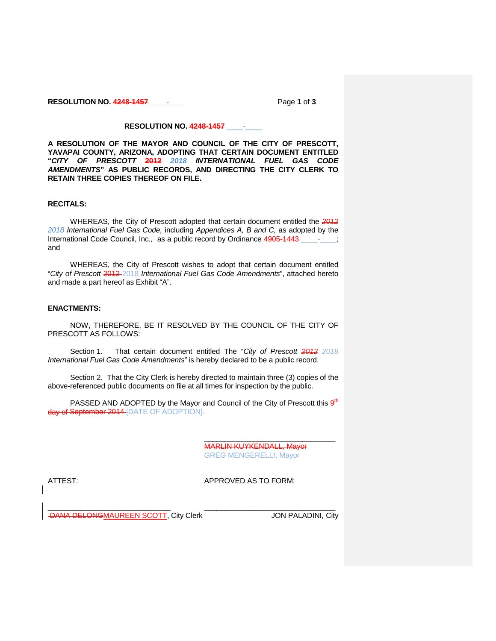**RESOLUTION NO. 4248-1457 \_\_\_\_-\_\_\_\_** Page **1** of **3**

# **RESOLUTION NO. 4248-1457** \_\_\_\_-\_\_\_\_

**A RESOLUTION OF THE MAYOR AND COUNCIL OF THE CITY OF PRESCOTT, YAVAPAI COUNTY, ARIZONA, ADOPTING THAT CERTAIN DOCUMENT ENTITLED "***CITY OF PRESCOTT* **2012** *2018 INTERNATIONAL FUEL GAS CODE AMENDMENTS***" AS PUBLIC RECORDS, AND DIRECTING THE CITY CLERK TO RETAIN THREE COPIES THEREOF ON FILE.**

# **RECITALS:**

WHEREAS, the City of Prescott adopted that certain document entitled the *2012 2018 International Fuel Gas Code,* including *Appendices A, B and C,* as adopted by the International Code Council, Inc., as a public record by Ordinance 4905-1443 and

WHEREAS, the City of Prescott wishes to adopt that certain document entitled "*City of Prescott* 2012 2018 *International Fuel Gas Code Amendments*", attached hereto and made a part hereof as Exhibit "A".

# **ENACTMENTS:**

NOW, THEREFORE, BE IT RESOLVED BY THE COUNCIL OF THE CITY OF PRESCOTT AS FOLLOWS:

Section 1. That certain document entitled The "*City of Prescott 2012 2018 International Fuel Gas Code Amendments*" is hereby declared to be a public record.

Section 2. That the City Clerk is hereby directed to maintain three (3) copies of the above-referenced public documents on file at all times for inspection by the public.

PASSED AND ADOPTED by the Mayor and Council of the City of Prescott this  $9<sup>th</sup>$ day of September 2014 [DATE OF ADOPTION].

> MARLIN KUYKENDALL, Mayor GREG MENGERELLI, Mayor

\_\_\_\_\_\_\_\_\_\_\_\_\_\_\_\_\_\_\_\_\_\_\_\_\_\_\_\_\_\_\_\_

ATTEST: AND APPROVED AS TO FORM:

\_\_\_\_\_\_\_\_\_\_\_\_\_\_\_\_\_\_\_\_\_\_\_\_\_\_\_\_\_\_ \_\_\_\_\_\_\_\_\_\_\_\_\_\_\_\_\_\_\_\_\_\_\_\_\_\_\_\_\_\_\_\_ DANA DELONGMAUREEN SCOTT, City Clerk JON PALADINI, City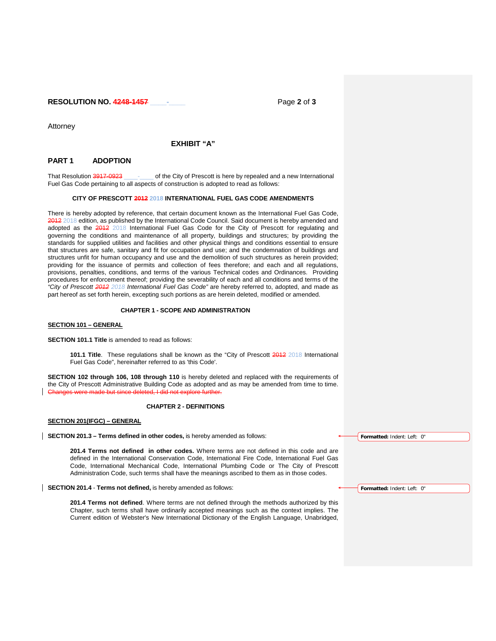**RESOLUTION NO. 4248-1457 \_\_\_\_-\_\_\_\_** Page **2** of **3**

Attorney

## **EXHIBIT "A"**

# **PART 1 ADOPTION**

That Resolution 3917-0923 \_\_\_\_\_\_\_\_\_ of the City of Prescott is here by repealed and a new International Fuel Gas Code pertaining to all aspects of construction is adopted to read as follows:

#### **CITY OF PRESCOTT 2012 2018 INTERNATIONAL FUEL GAS CODE AMENDMENTS**

There is hereby adopted by reference, that certain document known as the International Fuel Gas Code, 2012 2018 edition, as published by the International Code Council. Said document is hereby amended and adopted as the 2012 2018 International Fuel Gas Code for the City of Prescott for regulating and governing the conditions and maintenance of all property, buildings and structures; by providing the standards for supplied utilities and facilities and other physical things and conditions essential to ensure that structures are safe, sanitary and fit for occupation and use; and the condemnation of buildings and structures unfit for human occupancy and use and the demolition of such structures as herein provided; providing for the issuance of permits and collection of fees therefore; and each and all regulations, provisions, penalties, conditions, and terms of the various Technical codes and Ordinances. Providing procedures for enforcement thereof; providing the severability of each and all conditions and terms of the *"City of Prescott 2012 2018 International Fuel Gas Code"* are hereby referred to, adopted, and made as part hereof as set forth herein, excepting such portions as are herein deleted, modified or amended.

### **CHAPTER 1 - SCOPE AND ADMINISTRATION**

#### **SECTION 101 – GENERAL**

**SECTION 101.1 Title** is amended to read as follows:

**101.1 Title**. These regulations shall be known as the "City of Prescott 2012 2018 International Fuel Gas Code", hereinafter referred to as 'this Code'.

**SECTION 102 through 106, 108 through 110** is hereby deleted and replaced with the requirements of the City of Prescott Administrative Building Code as adopted and as may be amended from time to time.<br>Changes were made but since deleted. Ldid not explore further. Changes were made but since

## **CHAPTER 2 - DEFINITIONS**

### **SECTION 201(IFGC) – GENERAL**

**SECTION 201.3 – Terms defined in other codes,** is hereby amended as follows:

**201.4 Terms not defined in other codes.** Where terms are not defined in this code and are defined in the International Conservation Code, International Fire Code, International Fuel Gas Code, International Mechanical Code, International Plumbing Code or The City of Prescott Administration Code, such terms shall have the meanings ascribed to them as in those codes.

**SECTION 201.4** - **Terms not defined,** is hereby amended as follows:

**201.4 Terms not defined**. Where terms are not defined through the methods authorized by this Chapter, such terms shall have ordinarily accepted meanings such as the context implies. The Current edition of Webster's New International Dictionary of the English Language, Unabridged, **Formatted:** Indent: Left: 0"

**Formatted:** Indent: Left: 0"